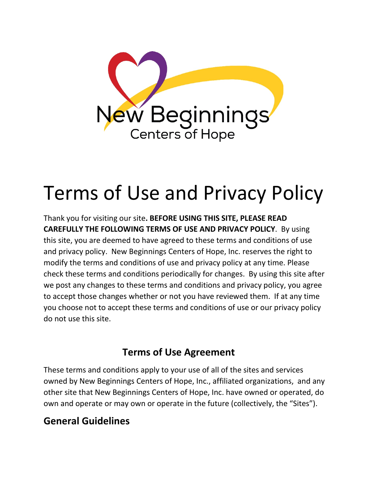

# Terms of Use and Privacy Policy

Thank you for visiting our site**. BEFORE USING THIS SITE, PLEASE READ CAREFULLY THE FOLLOWING TERMS OF USE AND PRIVACY POLICY**. By using this site, you are deemed to have agreed to these terms and conditions of use and privacy policy. New Beginnings Centers of Hope, Inc. reserves the right to modify the terms and conditions of use and privacy policy at any time. Please check these terms and conditions periodically for changes. By using this site after we post any changes to these terms and conditions and privacy policy, you agree to accept those changes whether or not you have reviewed them. If at any time you choose not to accept these terms and conditions of use or our privacy policy do not use this site.

# **Terms of Use Agreement**

These terms and conditions apply to your use of all of the sites and services owned by New Beginnings Centers of Hope, Inc., affiliated organizations, and any other site that New Beginnings Centers of Hope, Inc. have owned or operated, do own and operate or may own or operate in the future (collectively, the "Sites").

#### **General Guidelines**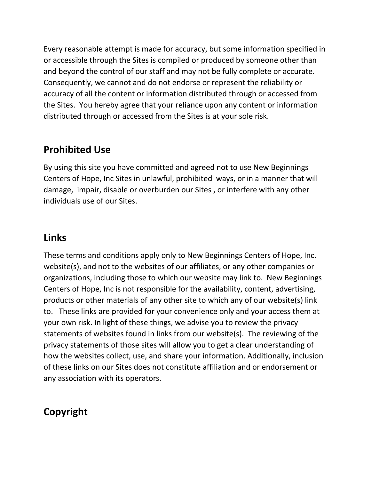Every reasonable attempt is made for accuracy, but some information specified in or accessible through the Sites is compiled or produced by someone other than and beyond the control of our staff and may not be fully complete or accurate. Consequently, we cannot and do not endorse or represent the reliability or accuracy of all the content or information distributed through or accessed from the Sites. You hereby agree that your reliance upon any content or information distributed through or accessed from the Sites is at your sole risk.

#### **Prohibited Use**

By using this site you have committed and agreed not to use New Beginnings Centers of Hope, Inc Sites in unlawful, prohibited ways, or in a manner that will damage, impair, disable or overburden our Sites , or interfere with any other individuals use of our Sites.

#### **Links**

These terms and conditions apply only to New Beginnings Centers of Hope, Inc. website(s), and not to the websites of our affiliates, or any other companies or organizations, including those to which our website may link to. New Beginnings Centers of Hope, Inc is not responsible for the availability, content, advertising, products or other materials of any other site to which any of our website(s) link to. These links are provided for your convenience only and your access them at your own risk. In light of these things, we advise you to review the privacy statements of websites found in links from our website(s). The reviewing of the privacy statements of those sites will allow you to get a clear understanding of how the websites collect, use, and share your information. Additionally, inclusion of these links on our Sites does not constitute affiliation and or endorsement or any association with its operators.

# **Copyright**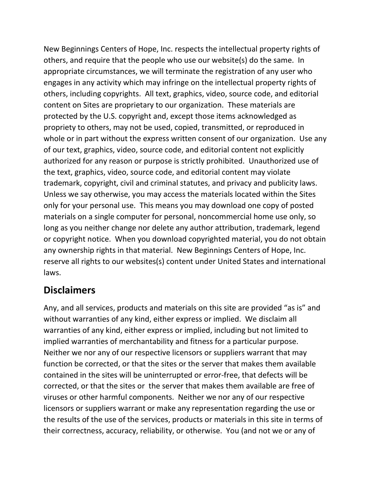New Beginnings Centers of Hope, Inc. respects the intellectual property rights of others, and require that the people who use our website(s) do the same. In appropriate circumstances, we will terminate the registration of any user who engages in any activity which may infringe on the intellectual property rights of others, including copyrights. All text, graphics, video, source code, and editorial content on Sites are proprietary to our organization. These materials are protected by the U.S. copyright and, except those items acknowledged as propriety to others, may not be used, copied, transmitted, or reproduced in whole or in part without the express written consent of our organization. Use any of our text, graphics, video, source code, and editorial content not explicitly authorized for any reason or purpose is strictly prohibited. Unauthorized use of the text, graphics, video, source code, and editorial content may violate trademark, copyright, civil and criminal statutes, and privacy and publicity laws. Unless we say otherwise, you may access the materials located within the Sites only for your personal use. This means you may download one copy of posted materials on a single computer for personal, noncommercial home use only, so long as you neither change nor delete any author attribution, trademark, legend or copyright notice. When you download copyrighted material, you do not obtain any ownership rights in that material. New Beginnings Centers of Hope, Inc. reserve all rights to our websites(s) content under United States and international laws.

#### **Disclaimers**

Any, and all services, products and materials on this site are provided "as is" and without warranties of any kind, either express or implied. We disclaim all warranties of any kind, either express or implied, including but not limited to implied warranties of merchantability and fitness for a particular purpose. Neither we nor any of our respective licensors or suppliers warrant that may function be corrected, or that the sites or the server that makes them available contained in the sites will be uninterrupted or error-free, that defects will be corrected, or that the sites or the server that makes them available are free of viruses or other harmful components. Neither we nor any of our respective licensors or suppliers warrant or make any representation regarding the use or the results of the use of the services, products or materials in this site in terms of their correctness, accuracy, reliability, or otherwise. You (and not we or any of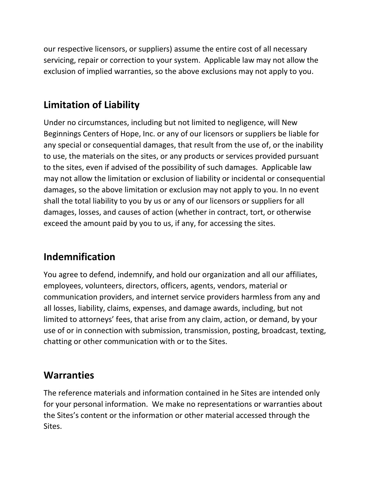our respective licensors, or suppliers) assume the entire cost of all necessary servicing, repair or correction to your system. Applicable law may not allow the exclusion of implied warranties, so the above exclusions may not apply to you.

# **Limitation of Liability**

Under no circumstances, including but not limited to negligence, will New Beginnings Centers of Hope, Inc. or any of our licensors or suppliers be liable for any special or consequential damages, that result from the use of, or the inability to use, the materials on the sites, or any products or services provided pursuant to the sites, even if advised of the possibility of such damages. Applicable law may not allow the limitation or exclusion of liability or incidental or consequential damages, so the above limitation or exclusion may not apply to you. In no event shall the total liability to you by us or any of our licensors or suppliers for all damages, losses, and causes of action (whether in contract, tort, or otherwise exceed the amount paid by you to us, if any, for accessing the sites.

# **Indemnification**

You agree to defend, indemnify, and hold our organization and all our affiliates, employees, volunteers, directors, officers, agents, vendors, material or communication providers, and internet service providers harmless from any and all losses, liability, claims, expenses, and damage awards, including, but not limited to attorneys' fees, that arise from any claim, action, or demand, by your use of or in connection with submission, transmission, posting, broadcast, texting, chatting or other communication with or to the Sites.

#### **Warranties**

The reference materials and information contained in he Sites are intended only for your personal information. We make no representations or warranties about the Sites's content or the information or other material accessed through the Sites.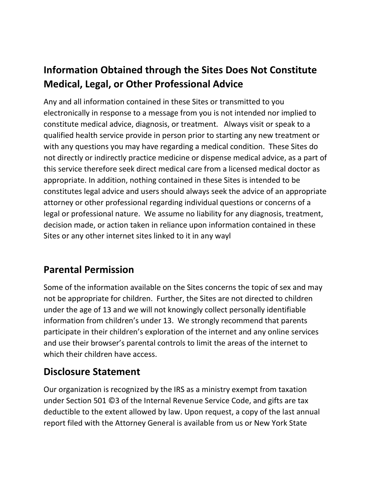# **Information Obtained through the Sites Does Not Constitute Medical, Legal, or Other Professional Advice**

Any and all information contained in these Sites or transmitted to you electronically in response to a message from you is not intended nor implied to constitute medical advice, diagnosis, or treatment. Always visit or speak to a qualified health service provide in person prior to starting any new treatment or with any questions you may have regarding a medical condition. These Sites do not directly or indirectly practice medicine or dispense medical advice, as a part of this service therefore seek direct medical care from a licensed medical doctor as appropriate. In addition, nothing contained in these Sites is intended to be constitutes legal advice and users should always seek the advice of an appropriate attorney or other professional regarding individual questions or concerns of a legal or professional nature. We assume no liability for any diagnosis, treatment, decision made, or action taken in reliance upon information contained in these Sites or any other internet sites linked to it in any wayl

#### **Parental Permission**

Some of the information available on the Sites concerns the topic of sex and may not be appropriate for children. Further, the Sites are not directed to children under the age of 13 and we will not knowingly collect personally identifiable information from children's under 13. We strongly recommend that parents participate in their children's exploration of the internet and any online services and use their browser's parental controls to limit the areas of the internet to which their children have access.

# **Disclosure Statement**

Our organization is recognized by the IRS as a ministry exempt from taxation under Section 501 ©3 of the Internal Revenue Service Code, and gifts are tax deductible to the extent allowed by law. Upon request, a copy of the last annual report filed with the Attorney General is available from us or New York State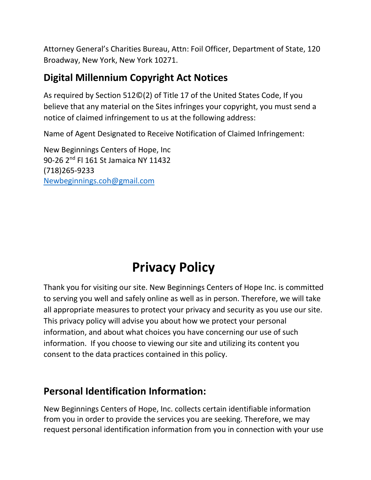Attorney General's Charities Bureau, Attn: Foil Officer, Department of State, 120 Broadway, New York, New York 10271.

#### **Digital Millennium Copyright Act Notices**

As required by Section 512©(2) of Title 17 of the United States Code, If you believe that any material on the Sites infringes your copyright, you must send a notice of claimed infringement to us at the following address:

Name of Agent Designated to Receive Notification of Claimed Infringement:

New Beginnings Centers of Hope, Inc 90-26 2<sup>nd</sup> Fl 161 St Jamaica NY 11432 (718)265-9233 [Newbeginnings.coh@gmail.com](mailto:Newbeginnings.coh@gmail.com) 

# **Privacy Policy**

Thank you for visiting our site. New Beginnings Centers of Hope Inc. is committed to serving you well and safely online as well as in person. Therefore, we will take all appropriate measures to protect your privacy and security as you use our site. This privacy policy will advise you about how we protect your personal information, and about what choices you have concerning our use of such information. If you choose to viewing our site and utilizing its content you consent to the data practices contained in this policy.

#### **Personal Identification Information:**

New Beginnings Centers of Hope, Inc. collects certain identifiable information from you in order to provide the services you are seeking. Therefore, we may request personal identification information from you in connection with your use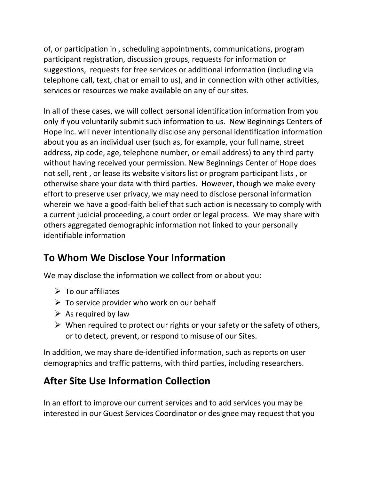of, or participation in , scheduling appointments, communications, program participant registration, discussion groups, requests for information or suggestions, requests for free services or additional information (including via telephone call, text, chat or email to us), and in connection with other activities, services or resources we make available on any of our sites.

In all of these cases, we will collect personal identification information from you only if you voluntarily submit such information to us. New Beginnings Centers of Hope inc. will never intentionally disclose any personal identification information about you as an individual user (such as, for example, your full name, street address, zip code, age, telephone number, or email address) to any third party without having received your permission. New Beginnings Center of Hope does not sell, rent , or lease its website visitors list or program participant lists , or otherwise share your data with third parties. However, though we make every effort to preserve user privacy, we may need to disclose personal information wherein we have a good-faith belief that such action is necessary to comply with a current judicial proceeding, a court order or legal process. We may share with others aggregated demographic information not linked to your personally identifiable information

#### **To Whom We Disclose Your Information**

We may disclose the information we collect from or about you:

- $\triangleright$  To our affiliates
- $\triangleright$  To service provider who work on our behalf
- $\triangleright$  As required by law
- $\triangleright$  When required to protect our rights or your safety or the safety of others, or to detect, prevent, or respond to misuse of our Sites.

In addition, we may share de-identified information, such as reports on user demographics and traffic patterns, with third parties, including researchers.

#### **After Site Use Information Collection**

In an effort to improve our current services and to add services you may be interested in our Guest Services Coordinator or designee may request that you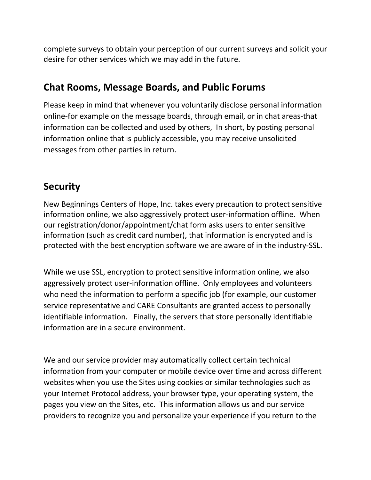complete surveys to obtain your perception of our current surveys and solicit your desire for other services which we may add in the future.

#### **Chat Rooms, Message Boards, and Public Forums**

Please keep in mind that whenever you voluntarily disclose personal information online-for example on the message boards, through email, or in chat areas-that information can be collected and used by others, In short, by posting personal information online that is publicly accessible, you may receive unsolicited messages from other parties in return.

#### **Security**

New Beginnings Centers of Hope, Inc. takes every precaution to protect sensitive information online, we also aggressively protect user-information offline. When our registration/donor/appointment/chat form asks users to enter sensitive information (such as credit card number), that information is encrypted and is protected with the best encryption software we are aware of in the industry-SSL.

While we use SSL, encryption to protect sensitive information online, we also aggressively protect user-information offline. Only employees and volunteers who need the information to perform a specific job (for example, our customer service representative and CARE Consultants are granted access to personally identifiable information. Finally, the servers that store personally identifiable information are in a secure environment.

We and our service provider may automatically collect certain technical information from your computer or mobile device over time and across different websites when you use the Sites using cookies or similar technologies such as your Internet Protocol address, your browser type, your operating system, the pages you view on the Sites, etc. This information allows us and our service providers to recognize you and personalize your experience if you return to the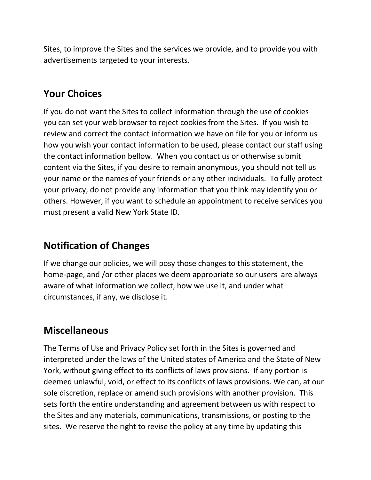Sites, to improve the Sites and the services we provide, and to provide you with advertisements targeted to your interests.

#### **Your Choices**

If you do not want the Sites to collect information through the use of cookies you can set your web browser to reject cookies from the Sites. If you wish to review and correct the contact information we have on file for you or inform us how you wish your contact information to be used, please contact our staff using the contact information bellow. When you contact us or otherwise submit content via the Sites, if you desire to remain anonymous, you should not tell us your name or the names of your friends or any other individuals. To fully protect your privacy, do not provide any information that you think may identify you or others. However, if you want to schedule an appointment to receive services you must present a valid New York State ID.

#### **Notification of Changes**

If we change our policies, we will posy those changes to this statement, the home-page, and /or other places we deem appropriate so our users are always aware of what information we collect, how we use it, and under what circumstances, if any, we disclose it.

#### **Miscellaneous**

The Terms of Use and Privacy Policy set forth in the Sites is governed and interpreted under the laws of the United states of America and the State of New York, without giving effect to its conflicts of laws provisions. If any portion is deemed unlawful, void, or effect to its conflicts of laws provisions. We can, at our sole discretion, replace or amend such provisions with another provision. This sets forth the entire understanding and agreement between us with respect to the Sites and any materials, communications, transmissions, or posting to the sites. We reserve the right to revise the policy at any time by updating this